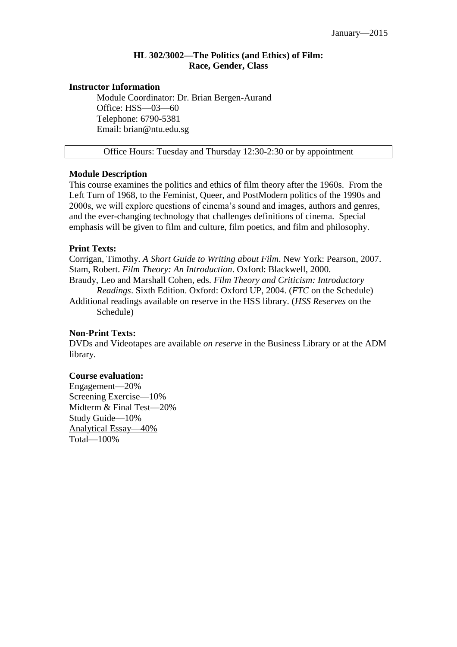# **HL 302/3002—The Politics (and Ethics) of Film: Race, Gender, Class**

### **Instructor Information**

Module Coordinator: Dr. Brian Bergen-Aurand Office: HSS—03—60 Telephone: 6790-5381 Email: brian@ntu.edu.sg

Office Hours: Tuesday and Thursday 12:30-2:30 or by appointment

## **Module Description**

This course examines the politics and ethics of film theory after the 1960s. From the Left Turn of 1968, to the Feminist, Queer, and PostModern politics of the 1990s and 2000s, we will explore questions of cinema's sound and images, authors and genres, and the ever-changing technology that challenges definitions of cinema. Special emphasis will be given to film and culture, film poetics, and film and philosophy.

## **Print Texts:**

Corrigan, Timothy. *A Short Guide to Writing about Film*. New York: Pearson, 2007. Stam, Robert. *Film Theory: An Introduction*. Oxford: Blackwell, 2000.

Braudy, Leo and Marshall Cohen, eds. *Film Theory and Criticism: Introductory Readings*. Sixth Edition. Oxford: Oxford UP, 2004. (*FTC* on the Schedule) Additional readings available on reserve in the HSS library. (*HSS Reserves* on the

Schedule)

## **Non-Print Texts:**

DVDs and Videotapes are available *on reserve* in the Business Library or at the ADM library.

## **Course evaluation:**

Engagement—20% Screening Exercise—10% Midterm & Final Test—20% Study Guide—10% Analytical Essay—40% Total—100%